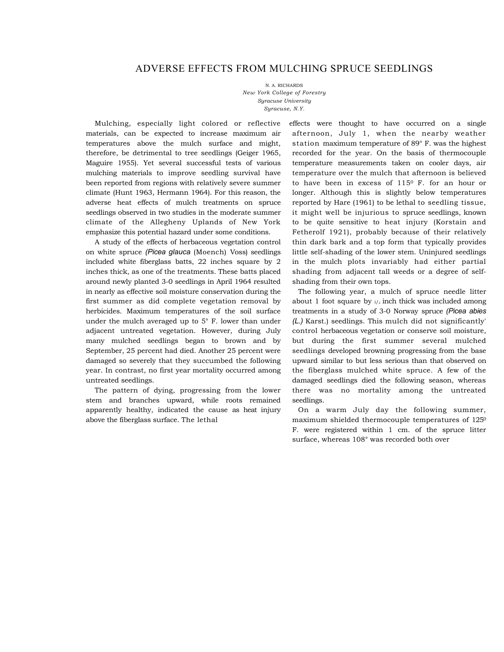# ADVERSE EFFECTS FROM MULCHING SPRUCE SEEDLINGS

N. A. RICHARDS *New York College of Forestry Syracuse University Syracuse, N.Y.* 

Mulching, especially light colored or reflective materials, can be expected to increase maximum air temperatures above the mulch surface and might, therefore, be detrimental to tree seedlings (Geiger 1965, Maguire 1955). Yet several successful tests of various mulching materials to improve seedling survival have been reported from regions with relatively severe summer climate (Hunt 1963, Hermann 1964). For this reason, the adverse heat effects of mulch treatments on spruce seedlings observed in two studies in the moderate summer climate of the Allegheny Uplands of New York emphasize this potential hazard under some conditions.

A study of the effects of herbaceous vegetation control on white spruce *(Picea glauca* (Moench) Voss) seedlings included white fiberglass batts, 22 inches square by 2 inches thick, as one of the treatments. These batts placed around newly planted 3-0 seedlings in April 1964 resulted in nearly as effective soil moisture conservation during the first summer as did complete vegetation removal by herbicides. Maximum temperatures of the soil surface under the mulch averaged up to 5° F. lower than under adjacent untreated vegetation. However, during July many mulched seedlings began to brown and by September, 25 percent had died. Another 25 percent were damaged so severely that they succumbed the following year. In contrast, no first year mortality occurred among untreated seedlings.

The pattern of dying, progressing from the lower stem and branches upward, while roots remained apparently healthy, indicated the cause as heat injury above the fiberglass surface. The lethal

effects were thought to have occurred on a single afternoon, July 1, when the nearby weather station maximum temperature of 89° F. was the highest recorded for the year. On the basis of thermocouple temperature measurements taken on cooler days, air temperature over the mulch that afternoon is believed to have been in excess of 1150 F. for an hour or longer. Although this is slightly below temperatures reported by Hare (1961) to be lethal to seedling tissue, it might well be injurious to spruce seedlings, known to be quite sensitive to heat injury (Korstain and Fetherolf 1921), probably because of their relatively thin dark bark and a top form that typically provides little self-shading of the lower stem. Uninjured seedlings in the mulch plots invariably had either partial shading from adjacent tall weeds or a degree of selfshading from their own tops.

The following year, a mulch of spruce needle litter about 1 foot square by  $i/2$  inch thick was included among treatments in a study of 3-0 Norway spruce *(Picea abies (L.)* Karst.) seedlings. This mulch did not significantly' control herbaceous vegetation or conserve soil moisture, but during the first summer several mulched seedlings developed browning progressing from the base upward similar to but less serious than that observed on the fiberglass mulched white spruce. A few of the damaged seedlings died the following season, whereas there was no mortality among the untreated seedlings.

On a warm July day the following summer, maximum shielded thermocouple temperatures of 1250 F. were registered within 1 cm. of the spruce litter surface, whereas 108° was recorded both over